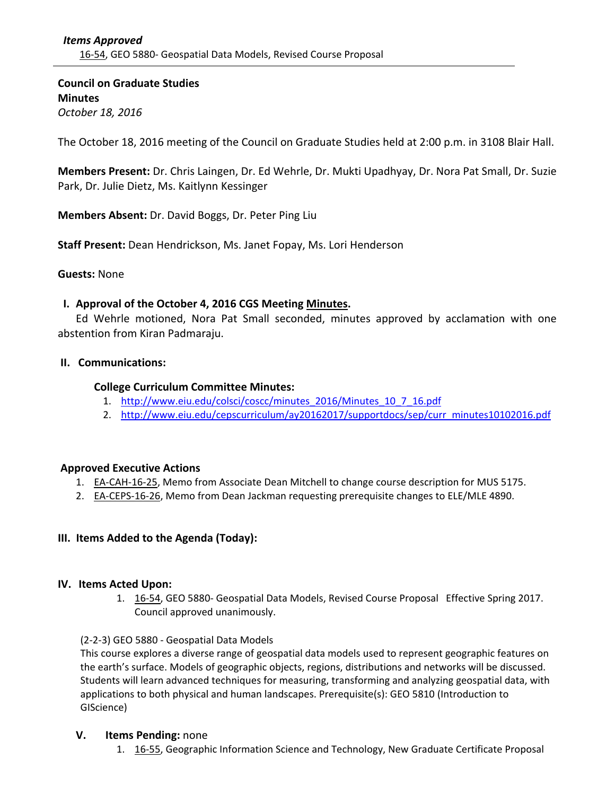**Council on Graduate Studies Minutes** *October 18, 2016*

The October 18, 2016 meeting of the Council on Graduate Studies held at 2:00 p.m. in 3108 Blair Hall.

**Members Present:** Dr. Chris Laingen, Dr. Ed Wehrle, Dr. Mukti Upadhyay, Dr. Nora Pat Small, Dr. Suzie Park, Dr. Julie Dietz, Ms. Kaitlynn Kessinger

**Members Absent:** Dr. David Boggs, Dr. Peter Ping Liu

**Staff Present:** Dean Hendrickson, Ms. Janet Fopay, Ms. Lori Henderson

# **Guests:** None

# **I. Approval of the October 4, 2016 CGS Meeting Minutes.**

Ed Wehrle motioned, Nora Pat Small seconded, minutes approved by acclamation with one abstention from Kiran Padmaraju.

## **II. Communications:**

# **College Curriculum Committee Minutes:**

- 1. [http://www.eiu.edu/colsci/coscc/minutes\\_2016/Minutes\\_10\\_7\\_16.pdf](http://www.eiu.edu/colsci/coscc/minutes_2016/Minutes_10_7_16.pdf)
- 2. [http://www.eiu.edu/cepscurriculum/ay20162017/supportdocs/sep/curr\\_minutes10102016.pdf](http://www.eiu.edu/cepscurriculum/ay20162017/supportdocs/oct/curr_agenda10102016.pdf)

# **Approved Executive Actions**

- 1. EA-[CAH](http://castle.eiu.edu/eiucgs/exec-actions/EA-CAH-16-25.pdf)-16-25, Memo from Associate Dean Mitchell to change course description for MUS 5175.
- 2. EA-[CEPS](http://castle.eiu.edu/eiucgs/exec-actions/EA-CEPS-16-26.pdf)-16-26, Memo from Dean Jackman requesting prerequisite changes to ELE/MLE 4890.

# **III. Items Added to the Agenda (Today):**

# **IV. Items Acted Upon:**

1. 16‐54, [GEO](http://castle.eiu.edu/eiucgs/currentagendaitems/agenda16-54.pdf) 5880‐ Geospatial Data Models, Revised Course Proposal Effective Spring 2017. Council approved unanimously.

# (2‐2‐3) GEO 5880 ‐ Geospatial Data Models

This course explores a diverse range of geospatial data models used to represent geographic features on the earth's surface. Models of geographic objects, regions, distributions and networks will be discussed. Students will learn advanced techniques for measuring, transforming and analyzing geospatial data, with applications to both physical and human landscapes. Prerequisite(s): GEO 5810 (Introduction to GIScience)

# **V. Items Pending:** none

1. 16-55, [Geogr](http://castle.eiu.edu/eiucgs/currentagendaitems/agenda16-55.pdf)aphic Information Science and Technology, New Graduate Certificate Proposal